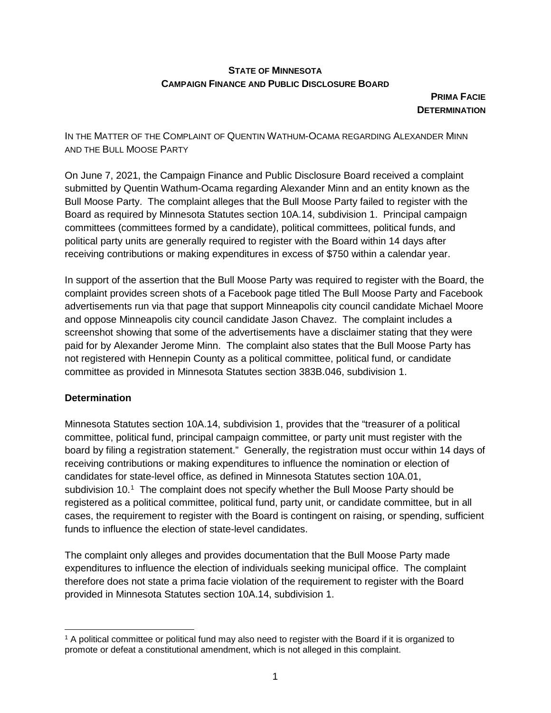## **STATE OF MINNESOTA CAMPAIGN FINANCE AND PUBLIC DISCLOSURE BOARD**

**PRIMA FACIE DETERMINATION** 

IN THE MATTER OF THE COMPLAINT OF QUENTIN WATHUM-OCAMA REGARDING ALEXANDER MINN AND THE BULL MOOSE PARTY

On June 7, 2021, the Campaign Finance and Public Disclosure Board received a complaint submitted by Quentin Wathum-Ocama regarding Alexander Minn and an entity known as the Bull Moose Party. The complaint alleges that the Bull Moose Party failed to register with the Board as required by Minnesota Statutes section 10A.14, subdivision 1. Principal campaign committees (committees formed by a candidate), political committees, political funds, and political party units are generally required to register with the Board within 14 days after receiving contributions or making expenditures in excess of \$750 within a calendar year.

In support of the assertion that the Bull Moose Party was required to register with the Board, the complaint provides screen shots of a Facebook page titled The Bull Moose Party and Facebook advertisements run via that page that support Minneapolis city council candidate Michael Moore and oppose Minneapolis city council candidate Jason Chavez. The complaint includes a screenshot showing that some of the advertisements have a disclaimer stating that they were paid for by Alexander Jerome Minn. The complaint also states that the Bull Moose Party has not registered with Hennepin County as a political committee, political fund, or candidate committee as provided in Minnesota Statutes section 383B.046, subdivision 1.

## **Determination**

Minnesota Statutes section 10A.14, subdivision 1, provides that the "treasurer of a political committee, political fund, principal campaign committee, or party unit must register with the board by filing a registration statement." Generally, the registration must occur within 14 days of receiving contributions or making expenditures to influence the nomination or election of candidates for state-level office, as defined in Minnesota Statutes section 10A.01, subdivision [1](#page-0-0)0. $<sup>1</sup>$  The complaint does not specify whether the Bull Moose Party should be</sup> registered as a political committee, political fund, party unit, or candidate committee, but in all cases, the requirement to register with the Board is contingent on raising, or spending, sufficient funds to influence the election of state-level candidates.

The complaint only alleges and provides documentation that the Bull Moose Party made expenditures to influence the election of individuals seeking municipal office. The complaint therefore does not state a prima facie violation of the requirement to register with the Board provided in Minnesota Statutes section 10A.14, subdivision 1.

<span id="page-0-0"></span> <sup>1</sup> A political committee or political fund may also need to register with the Board if it is organized to promote or defeat a constitutional amendment, which is not alleged in this complaint.